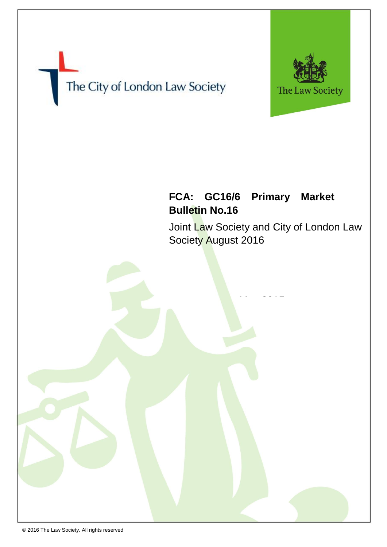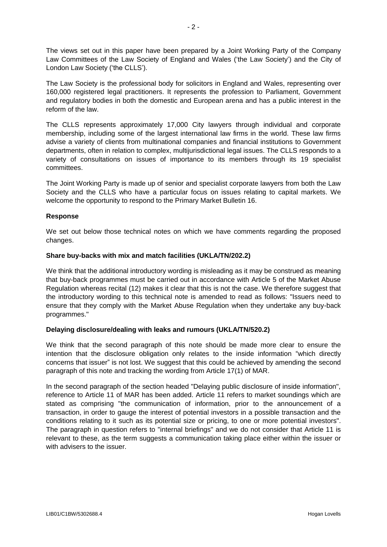The views set out in this paper have been prepared by a Joint Working Party of the Company Law Committees of the Law Society of England and Wales ('the Law Society') and the City of London Law Society ('the CLLS').

The Law Society is the professional body for solicitors in England and Wales, representing over 160,000 registered legal practitioners. It represents the profession to Parliament, Government and regulatory bodies in both the domestic and European arena and has a public interest in the reform of the law.

The CLLS represents approximately 17,000 City lawyers through individual and corporate membership, including some of the largest international law firms in the world. These law firms advise a variety of clients from multinational companies and financial institutions to Government departments, often in relation to complex, multijurisdictional legal issues. The CLLS responds to a variety of consultations on issues of importance to its members through its 19 specialist committees.

The Joint Working Party is made up of senior and specialist corporate lawyers from both the Law Society and the CLLS who have a particular focus on issues relating to capital markets. We welcome the opportunity to respond to the Primary Market Bulletin 16.

## **Response**

We set out below those technical notes on which we have comments regarding the proposed changes.

## **Share buy-backs with mix and match facilities (UKLA/TN/202.2)**

We think that the additional introductory wording is misleading as it may be construed as meaning that buy-back programmes must be carried out in accordance with Article 5 of the Market Abuse Regulation whereas recital (12) makes it clear that this is not the case. We therefore suggest that the introductory wording to this technical note is amended to read as follows: "Issuers need to ensure that they comply with the Market Abuse Regulation when they undertake any buy-back programmes."

## **Delaying disclosure/dealing with leaks and rumours (UKLA/TN/520.2)**

We think that the second paragraph of this note should be made more clear to ensure the intention that the disclosure obligation only relates to the inside information "which directly concerns that issuer" is not lost. We suggest that this could be achieved by amending the second paragraph of this note and tracking the wording from Article 17(1) of MAR.

In the second paragraph of the section headed "Delaying public disclosure of inside information", reference to Article 11 of MAR has been added. Article 11 refers to market soundings which are stated as comprising "the communication of information, prior to the announcement of a transaction, in order to gauge the interest of potential investors in a possible transaction and the conditions relating to it such as its potential size or pricing, to one or more potential investors". The paragraph in question refers to "internal briefings" and we do not consider that Article 11 is relevant to these, as the term suggests a communication taking place either within the issuer or with advisers to the issuer.